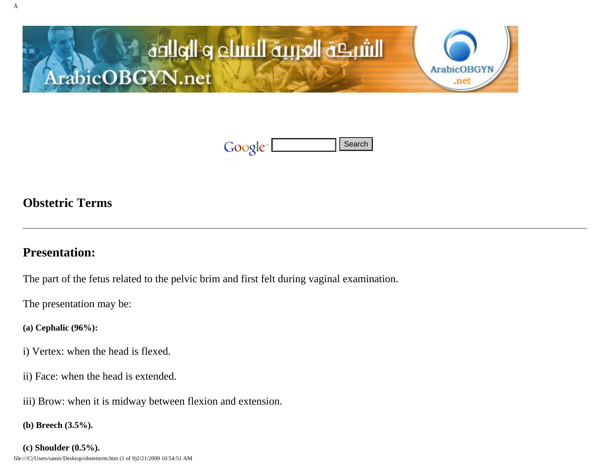



## **Obstetric Terms**

### **Presentation:**

The part of the fetus related to the pelvic brim and first felt during vaginal examination. **file:///Coolf Coolf Coolf Coolf Coolf Coolf Coolf Coolf Coolf Coolf Coolf Coolf Coolf Coolf Coolf Coolf Coolf Coolf Coolf Coolf Coolf Coolf Coolf Coolf Coolf Coolf Coolf Coolf Coolf Coolf Coolf Coolf Coolf Coolf Coolf Co** 

The presentation may be:

**(a) Cephalic (96%):**

- i) Vertex: when the head is flexed.
- ii) Face: when the head is extended.
- iii) Brow: when it is midway between flexion and extension.

```
(b) Breech (3.5%).
```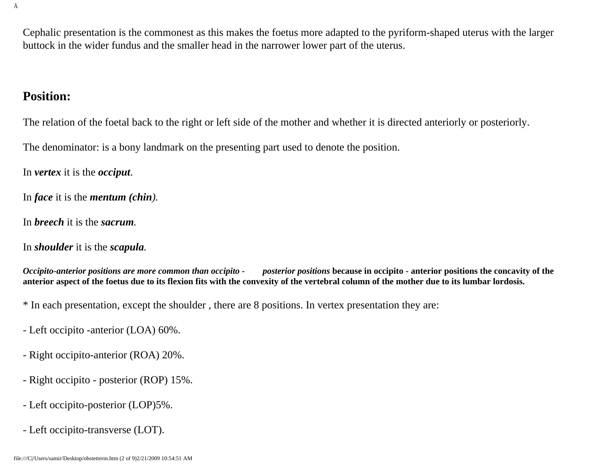Cephalic presentation is the commonest as this makes the foetus more adapted to the pyriform-shaped uterus with the larger buttock in the wider fundus and the smaller head in the narrower lower part of the uterus.

#### **Position:**

The relation of the foetal back to the right or left side of the mother and whether it is directed anteriorly or posteriorly.

The denominator: is a bony landmark on the presenting part used to denote the position.

In *vertex* it is the *occiput*.

In *face* it is the *mentum (chin).*

In *breech* it is the *sacrum.*

In *shoulder* it is the *scapula.*

*Occipito-anterior positions are more common than occipito - posterior positions* **because in occipito - anterior positions the concavity of the anterior aspect of the foetus due to its flexion fits with the convexity of the vertebral column of the mother due to its lumbar lordosis.**

\* In each presentation, except the shoulder , there are 8 positions. In vertex presentation they are:

- Left occipito -anterior (LOA) 60%.
- Right occipito-anterior (ROA) 20%.
- Right occipito posterior (ROP) 15%.
- Left occipito-posterior (LOP)5%.
- Left occipito-transverse (LOT).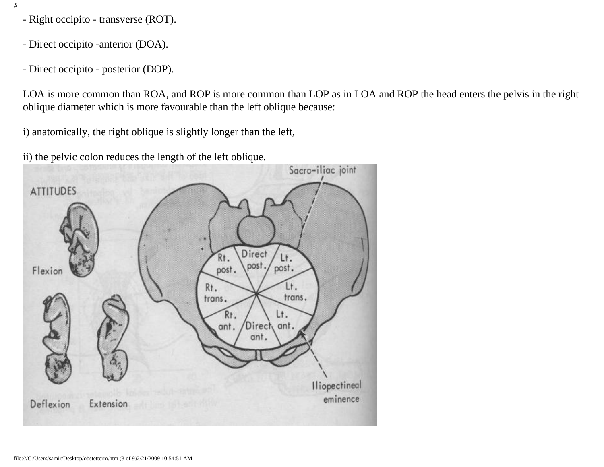- Right occipito transverse (ROT).
- Direct occipito -anterior (DOA).
- Direct occipito posterior (DOP).

LOA is more common than ROA, and ROP is more common than LOP as in LOA and ROP the head enters the pelvis in the right oblique diameter which is more favourable than the left oblique because:

i) anatomically, the right oblique is slightly longer than the left,

ii) the pelvic colon reduces the length of the left oblique.

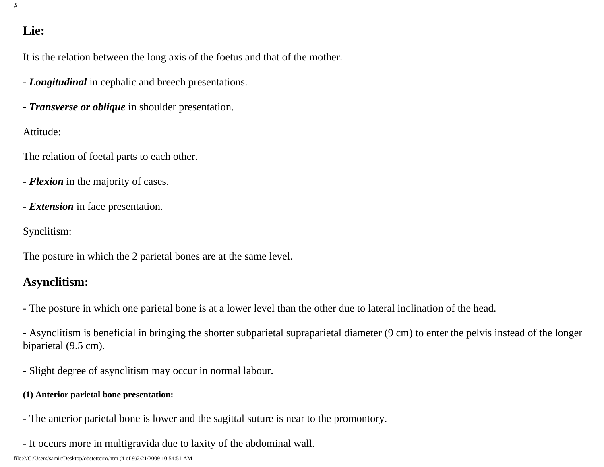## **Lie:**

Ã

It is the relation between the long axis of the foetus and that of the mother.

- *Longitudinal* in cephalic and breech presentations.
- *Transverse or oblique* in shoulder presentation.

Attitude:

The relation of foetal parts to each other.

- *Flexion* in the majority of cases.
- *Extension* in face presentation.

Synclitism:

The posture in which the 2 parietal bones are at the same level.

### **Asynclitism:**

- The posture in which one parietal bone is at a lower level than the other due to lateral inclination of the head.

- Asynclitism is beneficial in bringing the shorter subparietal supraparietal diameter (9 cm) to enter the pelvis instead of the longer biparietal (9.5 cm).

- Slight degree of asynclitism may occur in normal labour.

#### **(1) Anterior parietal bone presentation:**

- The anterior parietal bone is lower and the sagittal suture is near to the promontory.
- It occurs more in multigravida due to laxity of the abdominal wall.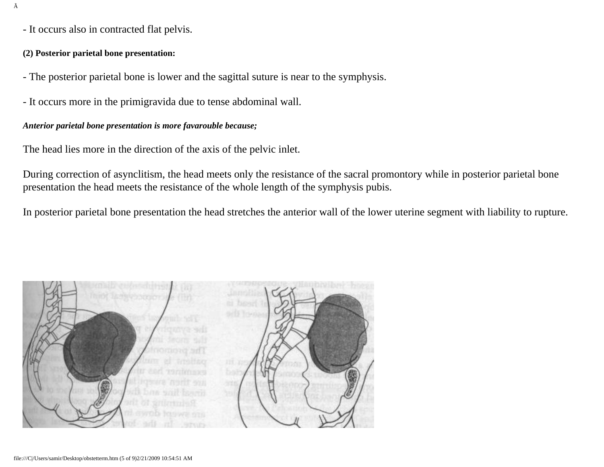- It occurs also in contracted flat pelvis.

#### **(2) Posterior parietal bone presentation:**

- The posterior parietal bone is lower and the sagittal suture is near to the symphysis.
- It occurs more in the primigravida due to tense abdominal wall.

#### *Anterior parietal bone presentation is more favarouble because;*

The head lies more in the direction of the axis of the pelvic inlet.

During correction of asynclitism, the head meets only the resistance of the sacral promontory while in posterior parietal bone presentation the head meets the resistance of the whole length of the symphysis pubis.

In posterior parietal bone presentation the head stretches the anterior wall of the lower uterine segment with liability to rupture.

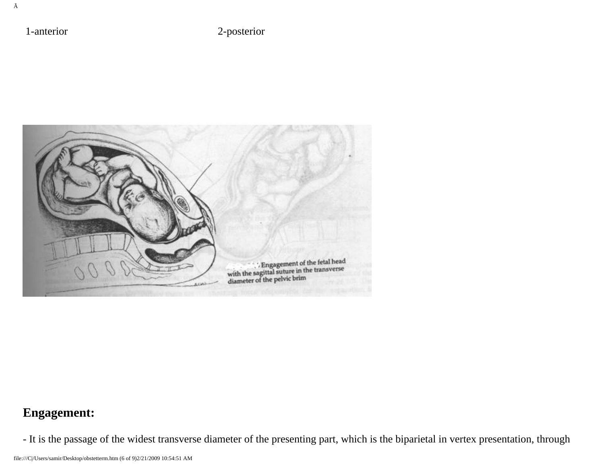1-anterior 2-posterior



# **Engagement:**

- It is the passage of the widest transverse diameter of the presenting part, which is the biparietal in vertex presentation, through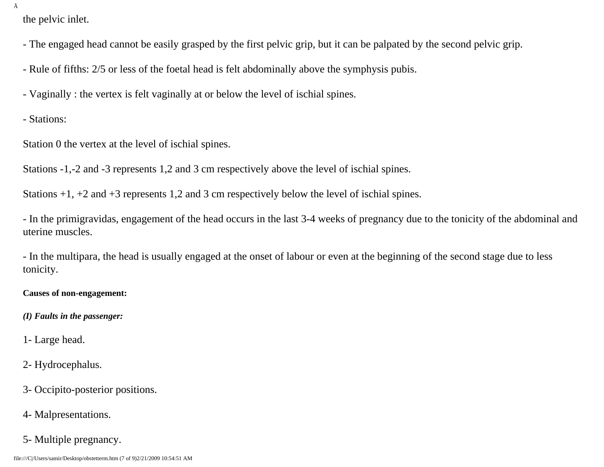Ã

the pelvic inlet.

- The engaged head cannot be easily grasped by the first pelvic grip, but it can be palpated by the second pelvic grip.

- Rule of fifths: 2/5 or less of the foetal head is felt abdominally above the symphysis pubis.

- Vaginally : the vertex is felt vaginally at or below the level of ischial spines.

- Stations:

Station 0 the vertex at the level of ischial spines.

Stations -1,-2 and -3 represents 1,2 and 3 cm respectively above the level of ischial spines.

Stations +1, +2 and +3 represents 1,2 and 3 cm respectively below the level of ischial spines.

- In the primigravidas, engagement of the head occurs in the last 3-4 weeks of pregnancy due to the tonicity of the abdominal and uterine muscles.

- In the multipara, the head is usually engaged at the onset of labour or even at the beginning of the second stage due to less tonicity.

**Causes of non-engagement:**

*(I) Faults in the passenger:*

1- Large head.

2- Hydrocephalus.

- 3- Occipito-posterior positions.
- 4- Malpresentations.
- 5- Multiple pregnancy.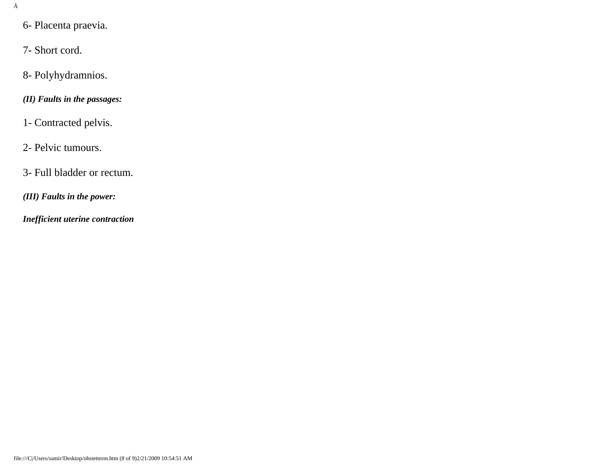- 6- Placenta praevia.
- 7- Short cord.
- 8- Polyhydramnios.
- *(II) Faults in the passages:*
- 1- Contracted pelvis.
- 2- Pelvic tumours.
- 3- Full bladder or rectum.
- *(III) Faults in the power:*
- *Inefficient uterine contraction*